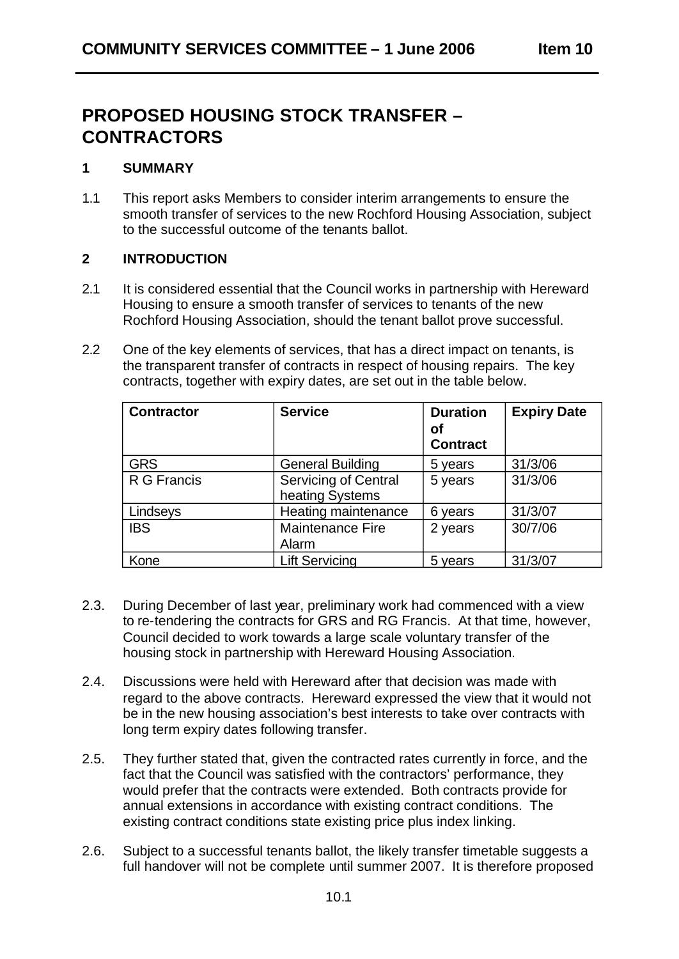# **PROPOSED HOUSING STOCK TRANSFER – CONTRACTORS**

## **1 SUMMARY**

1.1 This report asks Members to consider interim arrangements to ensure the smooth transfer of services to the new Rochford Housing Association, subject to the successful outcome of the tenants ballot.

## **2 INTRODUCTION**

- 2.1 It is considered essential that the Council works in partnership with Hereward Housing to ensure a smooth transfer of services to tenants of the new Rochford Housing Association, should the tenant ballot prove successful.
- 2.2 One of the key elements of services, that has a direct impact on tenants, is the transparent transfer of contracts in respect of housing repairs. The key contracts, together with expiry dates, are set out in the table below.

| <b>Contractor</b> | <b>Service</b>                          | <b>Duration</b><br>оf<br><b>Contract</b> | <b>Expiry Date</b> |
|-------------------|-----------------------------------------|------------------------------------------|--------------------|
| <b>GRS</b>        | <b>General Building</b>                 | 5 years                                  | 31/3/06            |
| R G Francis       | Servicing of Central<br>heating Systems | 5 years                                  | 31/3/06            |
| Lindseys          | Heating maintenance                     | 6 years                                  | 31/3/07            |
| <b>IBS</b>        | Maintenance Fire<br>Alarm               | 2 years                                  | 30/7/06            |
| Kone              | <b>Lift Servicing</b>                   | 5 years                                  | 31/3/07            |

- 2.3. During December of last year, preliminary work had commenced with a view to re-tendering the contracts for GRS and RG Francis. At that time, however, Council decided to work towards a large scale voluntary transfer of the housing stock in partnership with Hereward Housing Association.
- 2.4. Discussions were held with Hereward after that decision was made with regard to the above contracts. Hereward expressed the view that it would not be in the new housing association's best interests to take over contracts with long term expiry dates following transfer.
- 2.5. They further stated that, given the contracted rates currently in force, and the fact that the Council was satisfied with the contractors' performance, they would prefer that the contracts were extended. Both contracts provide for annual extensions in accordance with existing contract conditions. The existing contract conditions state existing price plus index linking.
- 2.6. Subject to a successful tenants ballot, the likely transfer timetable suggests a full handover will not be complete until summer 2007. It is therefore proposed